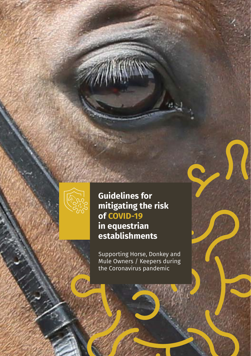

# **Guidelines for mitigating the risk of COVID-19**

## **in equestrian establishments**

Supporting Horse, Donkey and Mule Owners / Keepers during the Coronavirus pandemic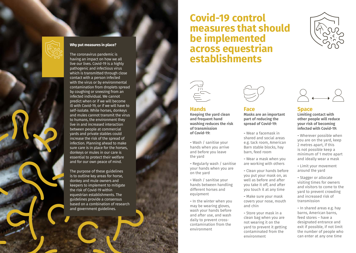

#### **Why put measures in place?**

The coronavirus pandemic is having an impact on how we all live our lives. Covid-19 is a highly pathogenic and infectious virus which is transmitted through close contact with a person infected with the virus or by environmental contamination from droplets spread by coughing or sneezing from an infected individual. We cannot predict when or if we will become ill with Covid-19, or if we will have to self-isolate. While horses, donkeys and mules cannot transmit the virus to humans, the environment they live in and increased interaction between people at commercial yards and private stables could increase the risk of the spread of infection. Planning ahead to make sure care is in place for the horses, donkeys or mules in our care is essential to protect their welfare and for our own peace of mind.

The purpose of these guidelines is to outline key areas for horse, donkey and mule owners and keepers to implement to mitigate the risk of Covid-19 within equestrian establishments. The guidelines provide a consensus based on a combination of research and government guidelines.

# **Covid-19 control measures that should be implemented across equestrian establishments**





### **Hands**

**Keeping the yard clean and frequent hand washing reduces the risk of transmission of Covid-19:**

**-** Wash / sanitise your hands when you arrive and before you leave the yard

**-** Regularly wash / sanitise your hands when you are on the yard

**-** Wash / sanitise your hands between handling different horses and equipment

**-** In the winter when you may be wearing gloves, wash your hands before and after use, and wash daily to prevent crosscontamination from the environment



#### **Face**

**Masks are an important part of reducing the spread of Covid-19:**

**-** Wear a facemask in shared and social areas e.g. tack room, American Barn stable blocks, hay barn, feed room

**-** Wear a mask when you are working with others

- **-** Clean your hands before you put your mask on, as well as before and after you take it off, and after you touch it at any time
- **-** Make sure your mask covers your nose, mouth and chin
- **-** Store your mask in a clean bag when you are not wearing it on the yard to prevent it getting contaminated from the environment



#### **Space**

**Limiting contact with other people will reduce your risk of becoming infected with Covid-19:**

**-** Wherever possible when you are on the yard, keep 2 metres apart, if this is not possible keep a minimum of 1 metre apart and ideally wear a mask

**-** Limit your movement around the yard

- **-** Stagger or allocate visiting times for owners and visitors to come to the yard to prevent crowding and increased risk of transmission
- **-** In shared areas e.g. hay barns, American barns, feed stores – have a designated entrance and exit if possible, if not limit the number of people who can enter at any one time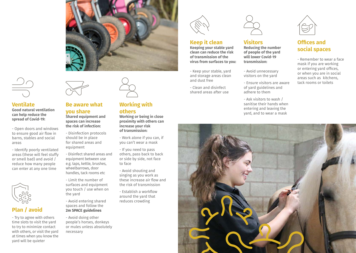



## **Ventilate**

**Good natural ventilation can help reduce the spread of Covid-19:**

- Open doors and windows to ensure good air flow in barns, stables and social areas

- Identify poorly ventilated areas (these will feel stuffy or smell bad) and avoid / reduce how many people can enter at any one time



## **Plan / avoid**

- Try to agree with others time slots to visit the yard to try to minimize contact with others, or visit the yard at times when you know the yard will be quieter



## **Be aware what you share**

**Shared equipment and spaces can increase the risk of infection:**

- Disinfection protocols should be in place for shared areas and equipment
- Disinfect shared areas and equipment between use e.g. taps, kettle, brushes, wheelbarrows, door handles, tack rooms etc

- Limit the number of surfaces and equipment you touch / use when on the yard

- Avoid entering shared spaces and follow the **2m SPACE guidelines** 

- Avoid doing other people's horses, donkeys or mules unless absolutely necessary



# **others**

**Working or being in close proximity with others can increase your risk of transmission:**

- Work alone if you can, if you can't wear a mask

- If you need to pass others, pass back to back or side by side, not face to face

- Avoid shouting and singing as you work as these increase air flow and the risk of transmission
- Establish a workflow around the yard that reduces crowding



#### **Keep it clean Keeping your stable yard clean can reduce the risk of transmission of the**

- Keep your stable, yard and storage areas clean and dust free

**virus from surfaces to you:**

- Clean and disinfect shared areas after use



## **Visitors**

**Reducing the number of people of the yard will lower Covid-19 transmission:**

- Avoid unnecessary visitors on the yard
- Ensure visitors are aware of yard guidelines and adhere to them
- Ask visitors to wash / sanitise their hands when entering and leaving the yard, and to wear a mask



## **Offices and social spaces**

- Remember to wear a face mask if you are working or entering yard offices, or when you are in social areas such as kitchens, tack rooms or toilets

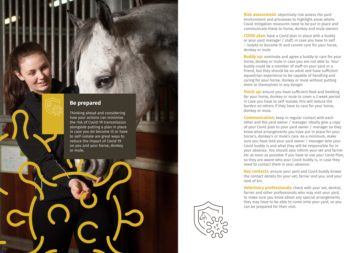

Thinking ahead and considering how your actions can minimise the risk of Covid-19 transmission alongside putting a plan in place in case you do become ill or have to self-isolate are great ways to reduce the impact of Covid-19 on you and your horse, donkey or mule.



**Risk assessment** : objectively risk assess the yard environment and processes to highlight areas where Covid mitigation measures need to be put in place and communicate these to horse, donkey and mule owners

**COVID plan**: have a Covid plan in place with a buddy or your yard manager / staff, in case you have to self – isolate or become ill and cannot care for your horse, donkey or mule

**Buddy up**: nominate and agree a buddy to care for your horse, donkey or mule in case you are not able to. Your buddy could be a member of staff on your yard or a friend, but they should be an adult and have sufficient equestrian experience to be capable of handling and caring for your horse, donkey or mule without putting them or themselves in any danger.

**Stock up:** ensure you have sufficient feed and bedding for your horse, donkey or mule to cover a 2 week period in case you have to self-isolate; this will reduce the burden on others if they have to care for your horse, donkey or mule.

**Communication**: keep in regular contact with each other and the yard owner / manager. Ideally give a copy of your Covid plan to your yard owner / manager so they know what arrangements you have put in place for your horse's, donkey's or mule's care. As a minimum, make sure you have told your yard owner / manager who your Covid buddy is and what they will be responsible for in your absence. You should also inform your vet and farrier etc as soon as possible if you have to use your Covid Plan, so they are aware who your Covid buddy is, in case they need to contact them in your absence.

**Key contacts:** ensure your yard and Covid buddy knows the contact details for your vet, farrier and you, and your next of kin.

**Veterinary professionals**: check with your vet, dentist, farrier and other professionals who may visit your yard, to make sure you know about any special arrangements they may have to be able to come onto your yard, so you can be prepared for their visit.